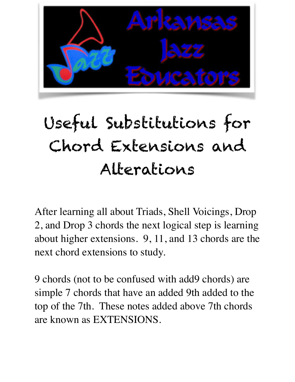

# Useful Substitutions for Chord Extensions and Alterations

After learning all about Triads, Shell Voicings, Drop 2, and Drop 3 chords the next logical step is learning about higher extensions. 9, 11, and 13 chords are the next chord extensions to study.

9 chords (not to be confused with add9 chords) are simple 7 chords that have an added 9th added to the top of the 7th. These notes added above 7th chords are known as EXTENSIONS.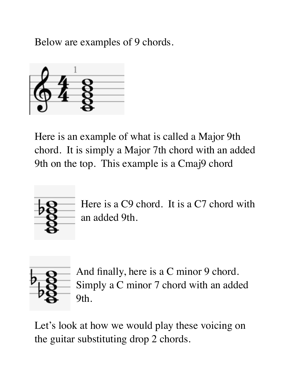Below are examples of 9 chords.



Here is an example of what is called a Major 9th chord. It is simply a Major 7th chord with an added 9th on the top. This example is a Cmaj9 chord



Here is a C9 chord. It is a C7 chord with an added 9th.



And finally, here is a C minor 9 chord. Simply a C minor 7 chord with an added 9th.

Let's look at how we would play these voicing on the guitar substituting drop 2 chords.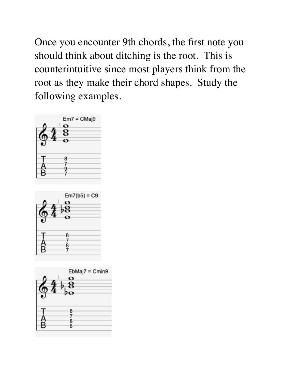Once you encounter 9th chords, the first note you should think about ditching is the root. This is counterintuitive since most players think from the root as they make their chord shapes. Study the following examples.





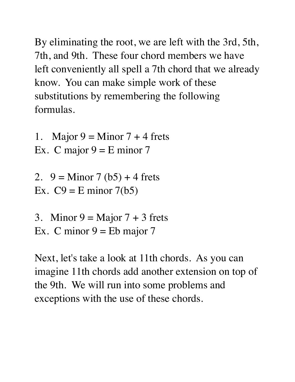By eliminating the root, we are left with the 3rd, 5th, 7th, and 9th. These four chord members we have left conveniently all spell a 7th chord that we already know. You can make simple work of these substitutions by remembering the following formulas.

1. Major  $9 =$  Minor  $7 + 4$  frets Ex. C major  $9 = E$  minor 7

2. 
$$
9 = \text{Minor } 7 \, (b5) + 4 \text{ frets}
$$
  
Ex.  $C9 = \text{E minor } 7(b5)$ 

3. Minor  $9 =$  Major  $7 + 3$  frets Ex. C minor  $9 =$  Eb major 7

Next, let's take a look at 11th chords. As you can imagine 11th chords add another extension on top of the 9th. We will run into some problems and exceptions with the use of these chords.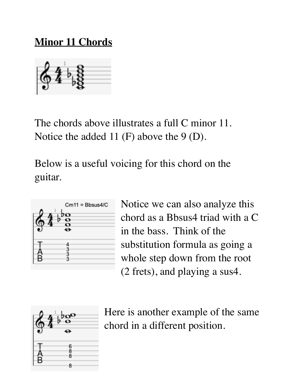#### **Minor 11 Chords**

The chords above illustrates a full C minor 11. Notice the added 11 (F) above the 9 (D).

Below is a useful voicing for this chord on the guitar.



Notice we can also analyze this chord as a Bbsus4 triad with a C in the bass. Think of the substitution formula as going a whole step down from the root (2 frets), and playing a sus4.



Here is another example of the same chord in a different position.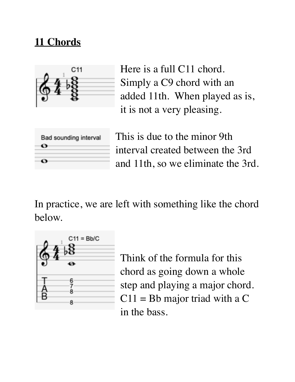## **11 Chords**



Here is a full C11 chord. Simply a C9 chord with an added 11th. When played as is, it is not a very pleasing.

| Bad sounding interval |  |
|-----------------------|--|
|                       |  |
|                       |  |

This is due to the minor 9th interval created between the 3rd and 11th, so we eliminate the 3rd.

In practice, we are left with something like the chord below.



Think of the formula for this chord as going down a whole step and playing a major chord.  $C11 = Bb$  major triad with a C in the bass.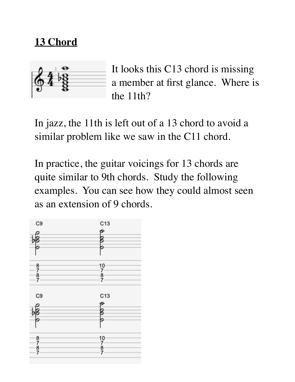### **13 Chord**



It looks this C13 chord is missing a member at first glance. Where is the 11th?

In jazz, the 11th is left out of a 13 chord to avoid a similar problem like we saw in the C11 chord.

In practice, the guitar voicings for 13 chords are quite similar to 9th chords. Study the following examples. You can see how they could almost seen as an extension of 9 chords.

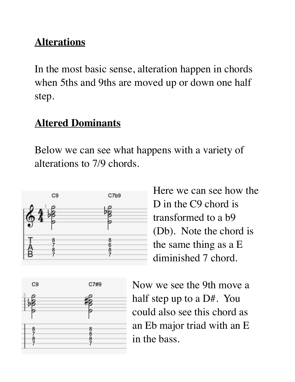# **Alterations**

In the most basic sense, alteration happen in chords when 5ths and 9ths are moved up or down one half step.

#### **Altered Dominants**

Below we can see what happens with a variety of alterations to 7/9 chords.



Here we can see how the D in the C9 chord is transformed to a b9 (Db). Note the chord is the same thing as a E diminished 7 chord.



Now we see the 9th move a half step up to a D#. You could also see this chord as an Eb major triad with an E in the bass.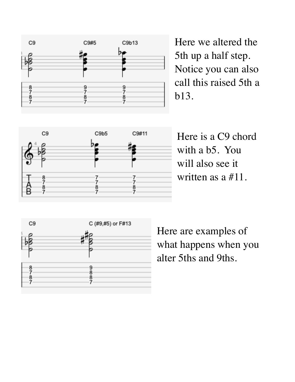

Here we altered the 5th up a half step. Notice you can also call this raised 5th a b13.



Here is a C9 chord with a b5. You will also see it written as a #11.



Here are examples of what happens when you alter 5ths and 9ths.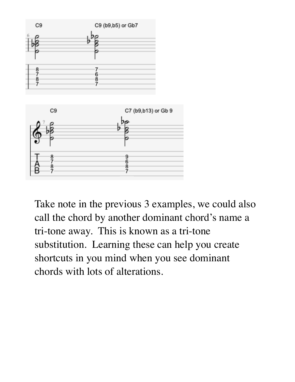

Take note in the previous 3 examples, we could also call the chord by another dominant chord's name a tri-tone away. This is known as a tri-tone substitution. Learning these can help you create shortcuts in you mind when you see dominant chords with lots of alterations.